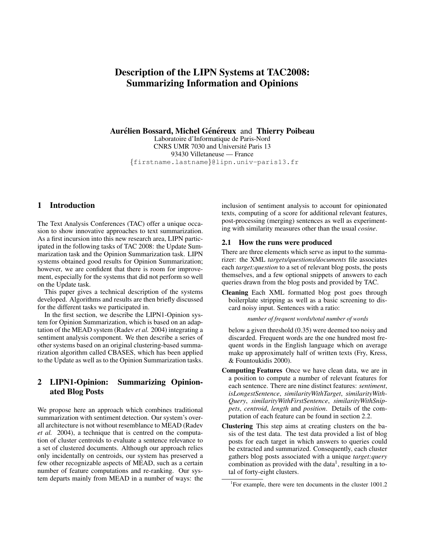# Description of the LIPN Systems at TAC2008: Summarizing Information and Opinions

### Aurélien Bossard, Michel Généreux and Thierry Poibeau

Laboratoire d'Informatique de Paris-Nord CNRS UMR 7030 and Universite Paris 13 ´ 93430 Villetaneuse — France {firstname.lastname}@lipn.univ-paris13.fr

## 1 Introduction

The Text Analysis Conferences (TAC) offer a unique occasion to show innovative approaches to text summarization. As a first incursion into this new research area, LIPN participated in the following tasks of TAC 2008: the Update Summarization task and the Opinion Summarization task. LIPN systems obtained good results for Opinion Summarization; however, we are confident that there is room for improvement, especially for the systems that did not perform so well on the Update task.

This paper gives a technical description of the systems developed. Algorithms and results are then briefly discussed for the different tasks we participated in.

In the first section, we describe the LIPN1-Opinion system for Opinion Summarization, which is based on an adaptation of the MEAD system (Radev *et al.* 2004) integrating a sentiment analysis component. We then describe a series of other systems based on an original clustering-based summarization algorithm called CBASES, which has been applied to the Update as well as to the Opinion Summarization tasks.

## 2 LIPN1-Opinion: Summarizing Opinionated Blog Posts

We propose here an approach which combines traditional summarization with sentiment detection. Our system's overall architecture is not without resemblance to MEAD (Radev *et al.* 2004), a technique that is centred on the computation of cluster centroids to evaluate a sentence relevance to a set of clustered documents. Although our approach relies only incidentally on centroids, our system has preserved a few other recognizable aspects of MEAD, such as a certain number of feature computations and re-ranking. Our system departs mainly from MEAD in a number of ways: the

inclusion of sentiment analysis to account for opinionated texts, computing of a score for additional relevant features, post-processing (merging) sentences as well as experimenting with similarity measures other than the usual *cosine*.

#### 2.1 How the runs were produced

There are three elements which serve as input to the summarizer: the XML *targets/questions/documents* file associates each *target:question* to a set of relevant blog posts, the posts themselves, and a few optional snippets of answers to each queries drawn from the blog posts and provided by TAC.

Cleaning Each XML formatted blog post goes through boilerplate stripping as well as a basic screening to discard noisy input. Sentences with a ratio:

*number of frequent words/total number of words*

below a given threshold (0.35) were deemed too noisy and discarded. Frequent words are the one hundred most frequent words in the English language which on average make up approximately half of written texts (Fry, Kress, & Fountoukidis 2000).

- Computing Features Once we have clean data, we are in a position to compute a number of relevant features for each sentence. There are nine distinct features: *sentiment*, *isLongestSentence*, *similarityWithTarget*, *similarityWith-Query*, *similarityWithFirstSentence*, *similarityWithSnippets*, *centroid*, *length* and *position*. Details of the computation of each feature can be found in section 2.2.
- Clustering This step aims at creating clusters on the basis of the test data. The test data provided a list of blog posts for each target in which answers to queries could be extracted and summarized. Consequently, each cluster gathers blog posts associated with a unique *target:query* combination as provided with the data<sup>1</sup>, resulting in a total of forty-eight clusters.

<sup>&</sup>lt;sup>1</sup>For example, there were ten documents in the cluster 1001.2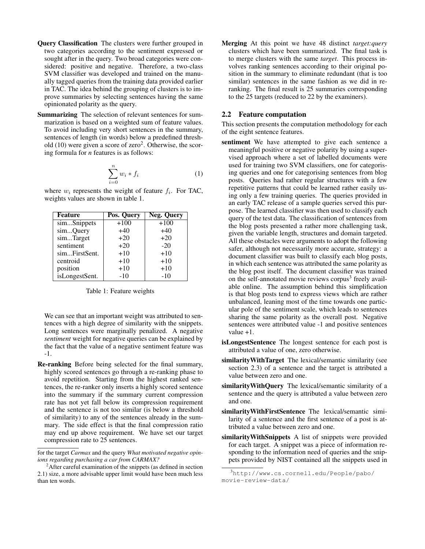- Query Classification The clusters were further grouped in two categories according to the sentiment expressed or sought after in the query. Two broad categories were considered: positive and negative. Therefore, a two-class SVM classifier was developed and trained on the manually tagged queries from the training data provided earlier in TAC. The idea behind the grouping of clusters is to improve summaries by selecting sentences having the same opinionated polarity as the query.
- Summarizing The selection of relevant sentences for summarization is based on a weighted sum of feature values. To avoid including very short sentences in the summary, sentences of length (in words) below a predefined threshold  $(10)$  were given a score of zero<sup>2</sup>. Otherwise, the scoring formula for *n* features is as follows:

$$
\sum_{i=0}^{n} w_i * f_i \tag{1}
$$

where  $w_i$  represents the weight of feature  $f_i$ . For TAC, weights values are shown in table 1.

| <b>Feature</b> | Pos. Query | Neg. Query |
|----------------|------------|------------|
| simSnippets    | $+100$     | $+100$     |
| simQuery       | $+40$      | $+40$      |
| simTarget      | $+20$      | $+20$      |
| sentiment      | $+20$      | $-20$      |
| simFirstSent.  | $+10$      | $+10$      |
| centroid       | $+10$      | $+10$      |
| position       | $+10$      | $+10$      |
| isLongestSent. | $-10$      | $-10$      |

Table 1: Feature weights

We can see that an important weight was attributed to sentences with a high degree of similarity with the snippets. Long sentences were marginally penalized. A negative *sentiment* weight for negative queries can be explained by the fact that the value of a negative sentiment feature was -1.

Re-ranking Before being selected for the final summary, highly scored sentences go through a re-ranking phase to avoid repetition. Starting from the highest ranked sentences, the re-ranker only inserts a highly scored sentence into the summary if the summary current compression rate has not yet fall below its compression requirement and the sentence is not too similar (is below a threshold of similarity) to any of the sentences already in the summary. The side effect is that the final compression ratio may end up above requirement. We have set our target compression rate to 25 sentences.

Merging At this point we have 48 distinct *target:query* clusters which have been summarized. The final task is to merge clusters with the same *target*. This process involves ranking sentences according to their original position in the summary to eliminate redundant (that is too similar) sentences in the same fashion as we did in reranking. The final result is 25 summaries corresponding to the 25 targets (reduced to 22 by the examiners).

#### 2.2 Feature computation

This section presents the computation methodology for each of the eight sentence features.

- sentiment We have attempted to give each sentence a meaningful positive or negative polarity by using a supervised approach where a set of labelled documents were used for training two SVM classifiers, one for categorising queries and one for categorising sentences from blog posts. Queries had rather regular structures with a few repetitive patterns that could be learned rather easily using only a few training queries. The queries provided in an early TAC release of a sample queries served this purpose. The learned classifier was then used to classify each query of the test data. The classification of sentences from the blog posts presented a rather more challenging task, given the variable length, structures and domain targeted. All these obstacles were arguments to adopt the following safer, although not necessarily more accurate, strategy: a document classifier was built to classify each blog posts, in which each sentence was attributed the same polarity as the blog post itself. The document classifier was trained on the self-annotated movie reviews corpus<sup>3</sup> freely available online. The assumption behind this simplification is that blog posts tend to express views which are rather unbalanced, leaning most of the time towards one particular pole of the sentiment scale, which leads to sentences sharing the same polarity as the overall post. Negative sentences were attributed value -1 and positive sentences value +1.
- isLongestSentence The longest sentence for each post is attributed a value of one, zero otherwise.
- similarityWithTarget The lexical/semantic similarity (see section 2.3) of a sentence and the target is attributed a value between zero and one.
- similarity WithQuery The lexical/semantic similarity of a sentence and the query is attributed a value between zero and one.
- similarityWithFirstSentence The lexical/semantic similarity of a sentence and the first sentence of a post is attributed a value between zero and one.
- similarityWithSnippets A list of snippets were provided for each target. A snippet was a piece of information responding to the information need of queries and the snippets provided by NIST contained all the snippets used in

for the target *Carmax* and the query *What motivated negative opinions regarding purchasing a car from CARMAX?*

 $2$ After careful examination of the snippets (as defined in section 2.1) size, a more advisable upper limit would have been much less than ten words.

<sup>3</sup>http://www.cs.cornell.edu/People/pabo/ movie-review-data/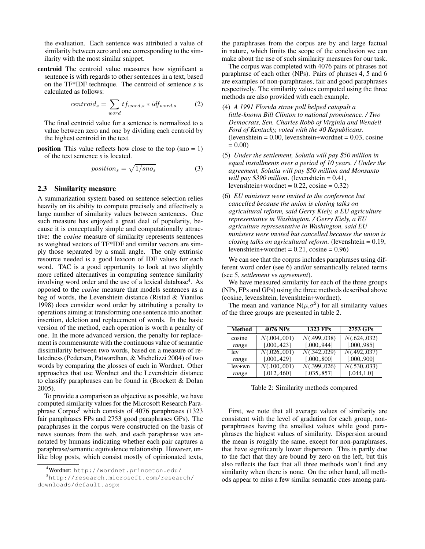the evaluation. Each sentence was attributed a value of similarity between zero and one corresponding to the similarity with the most similar snippet.

centroid The centroid value measures how significant a sentence is with regards to other sentences in a text, based on the TF\*IDF technique. The centroid of sentence *s* is calculated as follows:

$$
centroid_s = \sum_{word} tf_{word,s} * idf_{word,s}
$$
 (2)

The final centroid value for a sentence is normalized to a value between zero and one by dividing each centroid by the highest centroid in the text.

**position** This value reflects how close to the top  $(\text{sno} = 1)$ of the text sentence *s* is located.

$$
position_s = \sqrt{1/sno_s} \tag{3}
$$

#### 2.3 Similarity measure

A summarization system based on sentence selection relies heavily on its ability to compute precisely and effectively a large number of similarity values between sentences. One such measure has enjoyed a great deal of popularity, because it is conceptually simple and computationally attractive: the *cosine* measure of similarity represents sentences as weighted vectors of TF\*IDF and similar vectors are simply those separated by a small angle. The only extrinsic resource needed is a good lexicon of IDF values for each word. TAC is a good opportunity to look at two slightly more refined alternatives in computing sentence similarity involving word order and the use of a lexical database<sup>4</sup>. As opposed to the *cosine* measure that models sentences as a bag of words, the Levenshtein distance (Ristad & Yianilos 1998) does consider word order by attributing a penalty to operations aiming at transforming one sentence into another: insertion, deletion and replacement of words. In the basic version of the method, each operation is worth a penalty of one. In the more advanced version, the penalty for replacement is commensurate with the continuous value of semantic dissimilarity between two words, based on a measure of relatedness (Pedersen, Patwardhan, & Michelizzi 2004) of two words by comparing the glosses of each in Wordnet. Other approaches that use Wordnet and the Levenshtein distance to classify paraphrases can be found in (Brockett & Dolan 2005).

To provide a comparison as objective as possible, we have computed similarity values for the Microsoft Research Paraphrase Corpus<sup>5</sup> which consists of 4076 paraphrases  $(1323)$ fair paraphrases FPs and 2753 good paraphrases GPs). The paraphrases in the corpus were constructed on the basis of news sources from the web, and each paraphrase was annotated by humans indicating whether each pair captures a paraphrase/semantic equivalence relationship. However, unlike blog posts, which consist mostly of opinionated texts,

the paraphrases from the corpus are by and large factual in nature, which limits the scope of the conclusion we can make about the use of such similarity measures for our task.

The corpus was completed with 4076 pairs of phrases not paraphrase of each other (NPs). Pairs of phrases 4, 5 and 6 are examples of non-paraphrases, fair and good paraphrases respectively. The similarity values computed using the three methods are also provided with each example.

- (4) *A 1991 Florida straw poll helped catapult a little-known Bill Clinton to national prominence. / Two Democrats, Sen. Charles Robb of Virginia and Wendell Ford of Kentucky, voted with the 40 Republicans*.  $(levenshtein = 0.00, levenshtein + wordnet = 0.03, cosine)$  $= 0.00$
- (5) *Under the settlement, Solutia will pay* \$*50 million in equal installments over a period of 10 years. / Under the agreement, Solutia will pay* \$*50 million and Monsanto will pay* \$*390 million*. (levenshtein = 0.41, levenshtein+wordnet =  $0.22$ , cosine =  $0.32$ )
- (6) *EU ministers were invited to the conference but cancelled because the union is closing talks on agricultural reform, said Gerry Kiely, a EU agriculture representative in Washington. / Gerry Kiely, a EU agriculture representative in Washington, said EU ministers were invited but cancelled because the union is closing talks on agricultural reform*. (levenshtein = 0.19, levenshtein+wordnet =  $0.21$ , cosine =  $0.96$ )

We can see that the corpus includes paraphrases using different word order (see 6) and/or semantically related terms (see 5, *settlement* vs *agreement*).

We have measured similarity for each of the three groups (NPs, FPs and GPs) using the three methods described above (cosine, levenshtein, levenshtein+wordnet).

The mean and variance  $N(\mu, \sigma^2)$  for all similarity values of the three groups are presented in table 2.

| <b>Method</b> | 4076 NPs      | 1323 FPs      | 2753 GPs      |
|---------------|---------------|---------------|---------------|
| cosine        | N(.004, .001) | N(.499,.038)  | N(.624, .032) |
| range         | [.000, 423]   | [.000, .944]  | [.000, .985]  |
| lev           | N(.026, .001) | N(.342, .029) | N(.492,.037)  |
| range         | [.000, 429]   | [.000, .800]  | [.000, .900]  |
| $lev+wn$      | N(.100,.001)  | N(.399,.026)  | N(.530,.033)  |
| range         | [.012, .460]  | [.035, .857]  | [.044, 1.0]   |

Table 2: Similarity methods compared

First, we note that all average values of similarity are consistent with the level of gradation for each group, nonparaphrases having the smallest values while good paraphrases the highest values of similarity. Dispersion around the mean is roughly the same, except for non-paraphrases, that have significantly lower dispersion. This is partly due to the fact that they are bound by zero on the left, but this also reflects the fact that all three methods won't find any similarity when there is none. On the other hand, all methods appear to miss a few similar semantic cues among para-

<sup>4</sup>Wordnet: http://wordnet.princeton.edu/

<sup>5</sup>http://research.microsoft.com/research/ downloads/default.aspx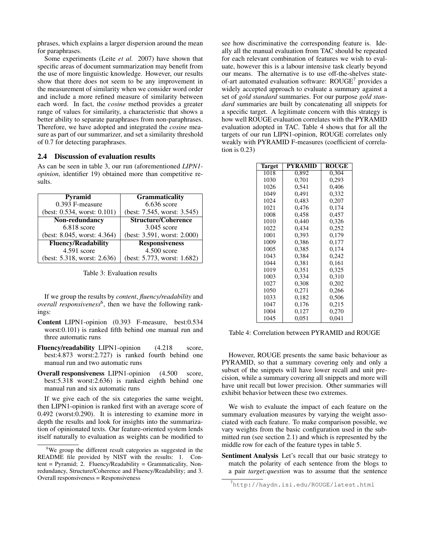phrases, which explains a larger dispersion around the mean for paraphrases.

Some experiments (Leite *et al.* 2007) have shown that specific areas of document summarization may benefit from the use of more linguistic knowledge. However, our results show that there does not seem to be any improvement in the measurement of similarity when we consider word order and include a more refined measure of similarity between each word. In fact, the *cosine* method provides a greater range of values for similarity, a characteristic that shows a better ability to separate paraphrases from non-paraphrases. Therefore, we have adopted and integrated the *cosine* measure as part of our summarizer, and set a similarity threshold of 0.7 for detecting paraphrases.

#### 2.4 Discussion of evaluation results

As can be seen in table 3, our run (aforementioned *LIPN1 opinion*, identifier 19) obtained more than competitive results.

| <b>Pyramid</b>                    | <b>Grammaticality</b>       |
|-----------------------------------|-----------------------------|
| 0.393 F-measure                   | $6.636$ score               |
| (best: $0.534$ , worst: $0.101$ ) | (best: 7.545, worst: 3.545) |
| Non-redundancy                    | <b>Structure/Coherence</b>  |
| $6.818$ score                     | 3.045 score                 |
| (best: 8.045, worst: 4.364)       | (best: 3.591, worst: 2.000) |
| <b>Fluency/Readability</b>        | <b>Responsiveness</b>       |
| $4.591$ score                     | $4.500$ score               |
| (best: 5.318, worst: 2.636)       | (best: 5.773, worst: 1.682) |

Table 3: Evaluation results

If we group the results by *content*, *fluency/readability* and *overall responsiveness*<sup>6</sup> , then we have the following rankings:

- Content LIPN1-opinion (0.393 F-measure, best:0.534 worst:0.101) is ranked fifth behind one manual run and three automatic runs
- Fluency/readability LIPN1-opinion (4.218 score, best:4.873 worst:2.727) is ranked fourth behind one manual run and two automatic runs
- Overall responsiveness LIPN1-opinion (4.500 score, best:5.318 worst:2.636) is ranked eighth behind one manual run and six automatic runs

If we give each of the six categories the same weight, then LIPN1-opinion is ranked first with an average score of 0.492 (worst:0.290). It is interesting to examine more in depth the results and look for insights into the summarization of opinionated texts. Our feature-oriented system lends itself naturally to evaluation as weights can be modified to

see how discriminative the corresponding feature is. Ideally all the manual evaluation from TAC should be repeated for each relevant combination of features we wish to evaluate, however this is a labour intensive task clearly beyond our means. The alternative is to use off-the-shelves stateof-art automated evaluation software: ROUGE<sup>7</sup> provides a widely accepted approach to evaluate a summary against a set of *gold standard* summaries. For our purpose *gold standard* summaries are built by concatenating all snippets for a specific target. A legitimate concern with this strategy is how well ROUGE evaluation correlates with the PYRAMID evaluation adopted in TAC. Table 4 shows that for all the targets of our run LIPN1-opinion, ROUGE correlates only weakly with PYRAMID F-measures (coefficient of correlation is 0.23)

| <b>Target</b> | <b>PYRAMID</b> | <b>ROUGE</b> |
|---------------|----------------|--------------|
| 1018          | 0.892          | 0.304        |
| 1030          | 0.701          | 0,293        |
| 1026          | 0,541          | 0,406        |
| 1049          | 0,491          | 0,332        |
| 1024          | 0,483          | 0,207        |
| 1021          | 0,476          | 0,174        |
| 1008          | 0.458          | 0.457        |
| 1010          | 0,440          | 0,326        |
| 1022          | 0.434          | 0.252        |
| 1001          | 0,393          | 0,179        |
| 1009          | 0,386          | 0.177        |
| 1005          | 0,385          | 0,174        |
| 1043          | 0.384          | 0.242        |
| 1044          | 0,381          | 0,161        |
| 1019          | 0,351          | 0,325        |
| 1003          | 0.334          | 0.310        |
| 1027          | 0,308          | 0,202        |
| 1050          | 0.271          | 0.266        |
| 1033          | 0,182          | 0,506        |
| 1047          | 0,176          | 0,215        |
| 1004          | 0,127          | 0,270        |
| 1045          | 0,051          | 0,041        |

Table 4: Correlation between PYRAMID and ROUGE

However, ROUGE presents the same basic behaviour as PYRAMID, so that a summary covering only and only a subset of the snippets will have lower recall and unit precision, while a summary covering all snippets and more will have unit recall but lower precision. Other summaries will exhibit behavior between these two extremes.

We wish to evaluate the impact of each feature on the summary evaluation measures by varying the weight associated with each feature. To make comparison possible, we vary weights from the basic configuration used in the submitted run (see section 2.1) and which is represented by the middle row for each of the feature types in table 5.

Sentiment Analysis Let's recall that our basic strategy to match the polarity of each sentence from the blogs to a pair *target:question* was to assume that the sentence

 $6\text{We group the different result categories as suggested in the }$ README file provided by NIST with the results: 1. Content = Pyramid; 2. Fluency/Readability = Grammaticality, Nonredundancy, Structure/Coherence and Fluency/Readability; and 3. Overall responsiveness = Responsiveness

<sup>7</sup>http://haydn.isi.edu/ROUGE/latest.html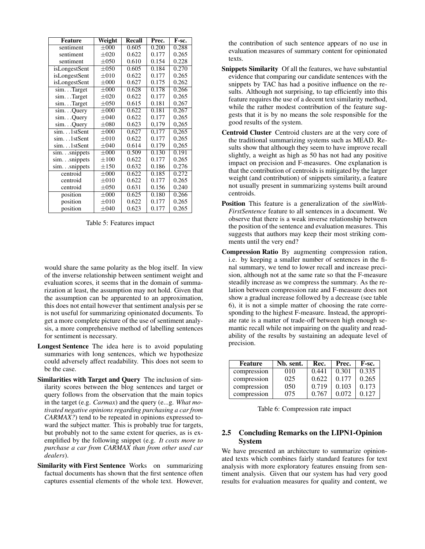| <b>Feature</b>  | Weight    | <b>Recall</b> | Prec. | F-sc. |
|-----------------|-----------|---------------|-------|-------|
| sentiment       | $\pm 000$ | 0.605         | 0.200 | 0.288 |
| sentiment       | $\pm 020$ | 0.622         | 0.177 | 0.265 |
| sentiment       | $\pm 050$ | 0.610         | 0.154 | 0.228 |
| isLongestSent   | $\pm 050$ | 0.605         | 0.184 | 0.270 |
| isLongestSent   | $\pm 010$ | 0.622         | 0.177 | 0.265 |
| isLongestSent   | $\pm 000$ | 0.627         | 0.175 | 0.262 |
| simTarget       | $\pm 000$ | 0.628         | 0.178 | 0.266 |
| simTarget       | $\pm 020$ | 0.622         | 0.177 | 0.265 |
| simTarget       | $\pm 050$ | 0.615         | 0.181 | 0.267 |
| simQuery        | $\pm 000$ | 0.622         | 0.181 | 0.267 |
| simQuery        | $\pm 040$ | 0.622         | 0.177 | 0.265 |
| simQuery        | $\pm 080$ | 0.623         | 0,179 | 0,265 |
| sim1stSent      | $\pm 000$ | 0,627         | 0,177 | 0,265 |
| sim1stSent      | $\pm 010$ | 0.622         | 0.177 | 0.265 |
| sim1stSent      | $\pm 040$ | 0.614         | 0.179 | 0,265 |
| $sim.$ snippets | $\pm 000$ | 0.509         | 0.130 | 0.191 |
| $sim.$ snippets | $\pm 100$ | 0.622         | 0.177 | 0.265 |
| $sim.$ snippets | $\pm 150$ | 0.632         | 0.186 | 0.276 |
| centroid        | $\pm 000$ | 0.622         | 0.185 | 0.272 |
| centroid        | $\pm 010$ | 0.622         | 0.177 | 0.265 |
| centroid        | $\pm 050$ | 0.631         | 0.156 | 0.240 |
| position        | $\pm 000$ | 0.625         | 0.180 | 0.266 |
| position        | $\pm 010$ | 0.622         | 0.177 | 0.265 |
| position        | $\pm 040$ | 0.623         | 0.177 | 0.265 |

Table 5: Features impact

would share the same polarity as the blog itself. In view of the inverse relationship between sentiment weight and evaluation scores, it seems that in the domain of summarization at least, the assumption may not hold. Given that the assumption can be apparented to an approximation, this does not entail however that sentiment analysis per se is not useful for summarizing opinionated documents. To get a more complete picture of the use of sentiment analysis, a more comprehensive method of labelling sentences for sentiment is necessary.

- Longest Sentence The idea here is to avoid populating summaries with long sentences, which we hypothesize could adversely affect readability. This does not seem to be the case.
- Similarities with Target and Query The inclusion of similarity scores between the blog sentences and target or query follows from the observation that the main topics in the target (e.g. *Carmax*) and the query (e...g. *What motivated negative opinions regarding purchasing a car from CARMAX?*) tend to be repeated in opinions expressed toward the subject matter. This is probably true for targets, but probably not to the same extent for queries, as is exemplified by the following snippet (e.g. *It costs more to purchase a car from CARMAX than from other used car dealers*).
- Similarity with First Sentence Works on summarizing factual documents has shown that the first sentence often captures essential elements of the whole text. However,

the contribution of such sentence appears of no use in evaluation measures of summary content for opinionated texts.

- Snippets Similarity Of all the features, we have substantial evidence that comparing our candidate sentences with the snippets by TAC has had a positive influence on the results. Although not surprising, to tap efficiently into this feature requires the use of a decent text similarity method, while the rather modest contribution of the feature suggests that it is by no means the sole responsible for the good results of the system.
- Centroid Cluster Centroid clusters are at the very core of the traditional summarizing systems such as MEAD. Results show that although they seem to have improve recall slightly, a weight as high as 50 has not had any positive impact on precision and F-measures. One explanation is that the contribution of centroids is mitigated by the larger weight (and contribution) of snippets similarity, a feature not usually present in summarizing systems built around centroids.
- Position This feature is a generalization of the *simWith-FirstSentence* feature to all sentences in a document. We observe that there is a weak inverse relationship between the position of the sentence and evaluation measures. This suggests that authors may keep their most striking comments until the very end?
- Compression Ratio By augmenting compression ration, i.e. by keeping a smaller number of sentences in the final summary, we tend to lower recall and increase precision, although not at the same rate so that the F-measure steadily increase as we compress the summary. As the relation between compression rate and F-measure does not show a gradual increase followed by a decrease (see table 6), it is not a simple matter of choosing the rate corresponding to the highest F-measure. Instead, the appropriate rate is a matter of trade-off between high enough semantic recall while not impairing on the quality and readability of the results by sustaining an adequate level of precision.

| Feature     | Nb. sent. | Rec.  | Prec. | F-sc. |
|-------------|-----------|-------|-------|-------|
| compression | 010       | 0.441 | 0.301 | 0.335 |
| compression | 025       | 0.622 | 0.177 | 0.265 |
| compression | 050       | 0.719 | 0.103 | 0.173 |
| compression | 075       | 0.767 | 0.072 | 0.127 |

Table 6: Compression rate impact

## 2.5 Concluding Remarks on the LIPN1-Opinion System

We have presented an architecture to summarize opinionated texts which combines fairly standard features for text analysis with more exploratory features ensuing from sentiment analysis. Given that our system has had very good results for evaluation measures for quality and content, we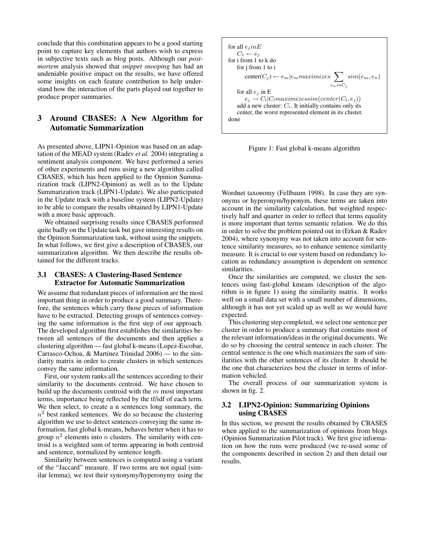conclude that this combination appears to be a good starting point to capture key elements that authors wish to express in subjective texts such as blog posts. Although our *postmortem* analysis showed that *snippet snooping* has had an undeniable positive impact on the results, we have offered some insights on each feature contribution to help understand how the interaction of the parts played out together to produce proper summaries.

## 3 Around CBASES: A New Algorithm for Automatic Summarization

As presented above, LIPN1-Opinion was based on an adaptation of the MEAD system (Radev *et al.* 2004) integrating a sentiment analysis component. We have performed a series of other experiments and runs using a new algorithm called CBASES, which has been applied to the Opinion Summarization track (LIPN2-Opinion) as well as to the Update Summarization track (LIPN1-Update). We also participated in the Update track with a baseline system (LIPN2-Update) to be able to compare the results obtained by LIPN1-Update with a more basic approach.

We obtained surprising results since CBASES performed quite badly on the Update task but gave interesting results on the Opinion Summarization task, without using the snippets. In what follows, we first give a description of CBASES, our summarization algorithm. We then describe the results obtained for the different tracks.

## 3.1 CBASES: A Clustering-Based Sentence Extractor for Automatic Summarization

We assume that redundant pieces of information are the most important thing in order to produce a good summary. Therefore, the sentences which carry those pieces of information have to be extracted. Detecting groups of sentences conveying the same information is the first step of our approach. The developed algorithm first establishes the similarities between all sentences of the documents and then applies a clustering algorithm — fast global k-means (Lopez-Escobar, Carrasco-Ochoa, & Martinez Trinidad 2006) — to the similarity matrix in order to create clusters in which sentences convey the same information.

First, our system ranks all the sentences according to their similarity to the documents centroid. We have chosen to build up the documents centroid with the  $m$  most important terms, importance being reflected by the tf/idf of each term. We then select, to create a n sentences long summary, the  $n<sup>2</sup>$  best ranked sentences. We do so because the clustering algorithm we use to detect sentences conveying the same information, fast global k-means, behaves better when it has to group  $n^2$  elements into n clusters. The similarity with centroid is a weighted sum of terms appearing in both centroid and sentence, normalized by sentence length.

Similarity between sentences is computed using a variant of the "Jaccard" measure. If two terms are not equal (similar lemma), we test their synonymy/hyperonymy using the



Figure 1: Fast global k-means algorithm

Wordnet taxonomy (Fellbaum 1998). In case they are synonyms or hyperonym/hyponym, these terms are taken into account in the similarity calculation, but weighted respectively half and quarter in order to reflect that terms equality is more important than terms semantic relation. We do this in order to solve the problem pointed out in (Erkan & Radev 2004), where synonymy was not taken into account for sentence similarity measures, so to enhance sentence similarity measure. It is crucial to our system based on redundancy location as redundancy assumption is dependent on sentence similarities.

Once the similarities are computed, we cluster the sentences using fast-global kmeans (description of the algorithm is in figure 1) using the similarity matrix. It works well on a small data set with a small number of dimensions, although it has not yet scaled up as well as we would have expected.

This clustering step completed, we select one sentence per cluster in order to produce a summary that contains most of the relevant information/ideas in the original documents. We do so by choosing the central sentence in each cluster. The central sentence is the one which maximizes the sum of similarities with the other sentences of its cluster. It should be the one that characterizes best the cluster in terms of information vehicled.

The overall process of our summarization system is shown in fig. 2.

## 3.2 LIPN2-Opinion: Summarizing Opinions using CBASES

In this section, we present the results obtained by CBASES when applied to the summarization of opinions from blogs (Opinion Summarization Pilot track). We first give information on how the runs were produced (we re-used some of the components described in section 2) and then detail our results.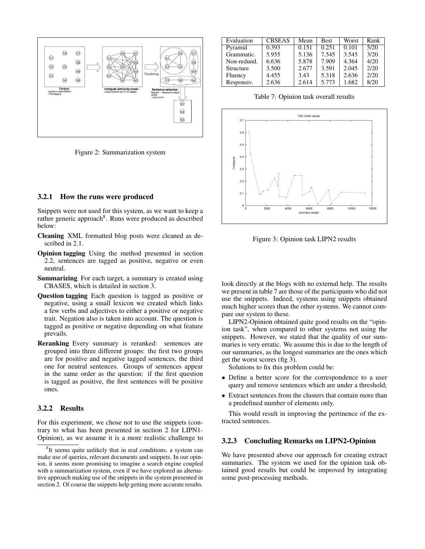

Figure 2: Summarization system

#### 3.2.1 How the runs were produced

Snippets were not used for this system, as we want to keep a rather generic approach<sup>8</sup>. Runs were produced as described below:

- Cleaning XML formatted blog posts were cleaned as described in 2.1.
- Opinion tagging Using the method presented in section 2.2, sentences are tagged as positive, negative or even neutral.
- Summarizing For each target, a summary is created using CBASES, which is detailed in section 3.
- Question tagging Each question is tagged as positive or negative, using a small lexicon we created which links a few verbs and adjectives to either a positive or negative trait. Negation also is taken into account. The question is tagged as positive or negative depending on what feature prevails.
- Reranking Every summary is reranked: sentences are grouped into three different groups: the first two groups are for positive and negative tagged sentences, the third one for neutral sentences. Groups of sentences appear in the same order as the question: if the first question is tagged as positive, the first sentences will be positive ones.

#### 3.2.2 Results

For this experiment, we chose not to use the snippets (contrary to what has been presented in section 2 for LIPN1- Opinion), as we assume it is a more realistic challenge to

| Evaluation  | <b>CBSEAS</b> | Mean  | <b>Best</b> | Worst | Rank |
|-------------|---------------|-------|-------------|-------|------|
|             |               |       |             |       |      |
| Pyramid     | 0.393         | 0.151 | 0.251       | 0.101 | 5/20 |
| Grammatic.  | 5.955         | 5.136 | 7.545       | 3.545 | 3/20 |
| Non-redund. | 6.636         | 5.878 | 7.909       | 4.364 | 4/20 |
| Structure   | 3.500         | 2.677 | 3.591       | 2.045 | 2/20 |
| Fluency     | 4.455         | 3.43  | 5.318       | 2.636 | 2/20 |
| Responsiv.  | 2.636         | 2.614 | 5.773       | 1.682 | 8/20 |

Table 7: Opinion task overall results



Figure 3: Opinion task LIPN2 results

look directly at the blogs with no external help. The results we present in table 7 are those of the participants who did not use the snippets. Indeed, systems using snippets obtained much higher scores than the other systems. We cannot compare our system to these.

LIPN2-Opinion obtained quite good results on the "opinion task", when compared to other systems not using the snippets. However, we stated that the quality of our summaries is very erratic. We assume this is due to the length of our summaries, as the longest summaries are the ones which get the worst scores (fig 3).

Solutions to fix this problem could be:

- Define a better score for the correspondence to a user query and remove sentences which are under a threshold;
- Extract sentences from the clusters that contain more than a predefined number of elements only.

This would result in improving the pertinence of the extracted sentences.

#### 3.2.3 Concluding Remarks on LIPN2-Opinion

We have presented above our approach for creating extract summaries. The system we used for the opinion task obtained good results but could be improved by integrating some post-processing methods.

<sup>&</sup>lt;sup>8</sup>It seems quite unlikely that in real conditions, a system can make use of queries, relevant documents and snippets. In our opinion, it seems more promising to imagine a search engine coupled with a summarization system, even if we have explored an alternative approach making use of the snippets in the system presented in section 2. Of course the snippets help getting more accurate results.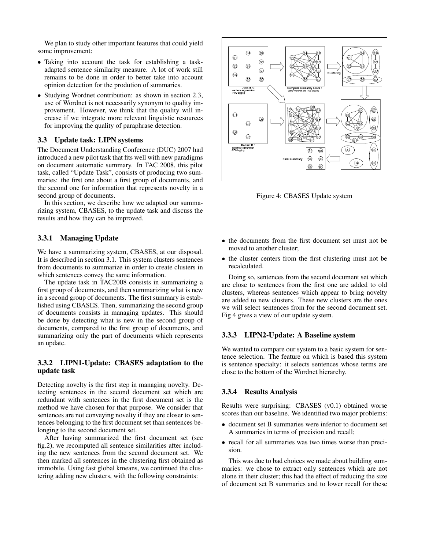We plan to study other important features that could yield some improvement:

- Taking into account the task for establishing a taskadapted sentence similarity measure. A lot of work still remains to be done in order to better take into account opinion detection for the prodution of summaries.
- Studying Wordnet contribution: as shown in section 2.3, use of Wordnet is not necessarily synonym to quality improvement. However, we think that the quality will increase if we integrate more relevant linguistic resources for improving the quality of paraphrase detection.

#### 3.3 Update task: LIPN systems

The Document Understanding Conference (DUC) 2007 had introduced a new pilot task that fits well with new paradigms on document automatic summary. In TAC 2008, this pilot task, called "Update Task", consists of producing two summaries: the first one about a first group of documents, and the second one for information that represents novelty in a second group of documents.

In this section, we describe how we adapted our summarizing system, CBASES, to the update task and discuss the results and how they can be improved.

## 3.3.1 Managing Update

We have a summarizing system, CBASES, at our disposal. It is described in section 3.1. This system clusters sentences from documents to summarize in order to create clusters in which sentences convey the same information.

The update task in TAC2008 consists in summarizing a first group of documents, and then summarizing what is new in a second group of documents. The first summary is established using CBASES. Then, summarizing the second group of documents consists in managing updates. This should be done by detecting what is new in the second group of documents, compared to the first group of documents, and summarizing only the part of documents which represents an update.

## 3.3.2 LIPN1-Update: CBASES adaptation to the update task

Detecting novelty is the first step in managing novelty. Detecting sentences in the second document set which are redundant with sentences in the first document set is the method we have chosen for that purpose. We consider that sentences are not conveying novelty if they are closer to sentences belonging to the first document set than sentences belonging to the second document set.

After having summarized the first document set (see fig.2), we recomputed all sentence similarities after including the new sentences from the second document set. We then marked all sentences in the clustering first obtained as immobile. Using fast global kmeans, we continued the clustering adding new clusters, with the following constraints:



Figure 4: CBASES Update system

- the documents from the first document set must not be moved to another cluster;
- the cluster centers from the first clustering must not be recalculated.

Doing so, sentences from the second document set which are close to sentences from the first one are added to old clusters, whereas sentences which appear to bring novelty are added to new clusters. These new clusters are the ones we will select sentences from for the second document set. Fig 4 gives a view of our update system.

### 3.3.3 LIPN2-Update: A Baseline system

We wanted to compare our system to a basic system for sentence selection. The feature on which is based this system is sentence specialty: it selects sentences whose terms are close to the bottom of the Wordnet hierarchy.

#### 3.3.4 Results Analysis

Results were surprising: CBASES (v0.1) obtained worse scores than our baseline. We identified two major problems:

- document set B summaries were inferior to document set A summaries in terms of precision and recall;
- recall for all summaries was two times worse than precision.

This was due to bad choices we made about building summaries: we chose to extract only sentences which are not alone in their cluster; this had the effect of reducing the size of document set B summaries and to lower recall for these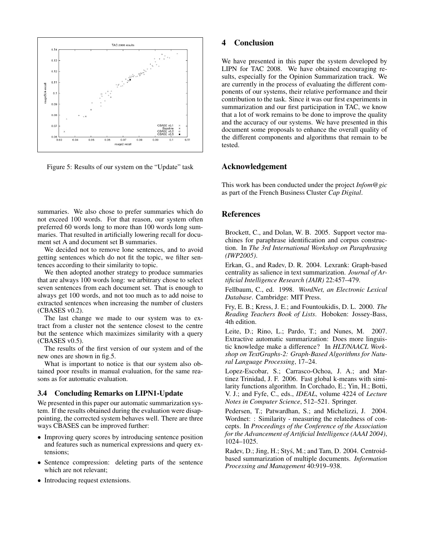

Figure 5: Results of our system on the "Update" task

summaries. We also chose to prefer summaries which do not exceed 100 words. For that reason, our system often preferred 60 words long to more than 100 words long summaries. That resulted in artificially lowering recall for document set A and document set B summaries.

We decided not to remove lone sentences, and to avoid getting sentences which do not fit the topic, we filter sentences according to their similarity to topic.

We then adopted another strategy to produce summaries that are always 100 words long: we arbitrary chose to select seven sentences from each document set. That is enough to always get 100 words, and not too much as to add noise to extracted sentences when increasing the number of clusters (CBASES v0.2).

The last change we made to our system was to extract from a cluster not the sentence closest to the centre but the sentence which maximizes similarity with a query (CBASES v0.5).

The results of the first version of our system and of the new ones are shown in fig.5.

What is important to notice is that our system also obtained poor results in manual evaluation, for the same reasons as for automatic evaluation.

#### 3.4 Concluding Remarks on LIPN1-Update

We presented in this paper our automatic summarization system. If the results obtained during the evaluation were disappointing, the corrected system behaves well. There are three ways CBASES can be improved further:

- Improving query scores by introducing sentence position and features such as numerical expressions and query extensions;
- Sentence compression: deleting parts of the sentence which are not relevant;
- Introducing request extensions.

## 4 Conclusion

We have presented in this paper the system developed by LIPN for TAC 2008. We have obtained encouraging results, especially for the Opinion Summarization track. We are currently in the process of evaluating the different components of our systems, their relative performance and their contribution to the task. Since it was our first experiments in summarization and our first participation in TAC, we know that a lot of work remains to be done to improve the quality and the accuracy of our systems. We have presented in this document some proposals to enhance the overall quality of the different components and algorithms that remain to be tested.

### Acknowledgement

This work has been conducted under the project *Infom@gic* as part of the French Business Cluster *Cap Digital*.

## References

Brockett, C., and Dolan, W. B. 2005. Support vector machines for paraphrase identification and corpus construction. In *The 3rd International Workshop on Paraphrasing (IWP2005)*.

Erkan, G., and Radev, D. R. 2004. Lexrank: Graph-based centrality as salience in text summarization. *Journal of Artificial Intelligence Research (JAIR)* 22:457–479.

Fellbaum, C., ed. 1998. *WordNet, an Electronic Lexical Database*. Cambridge: MIT Press.

Fry, E. B.; Kress, J. E.; and Fountoukidis, D. L. 2000. *The Reading Teachers Book of Lists*. Hoboken: Jossey-Bass, 4th edition.

Leite, D.; Rino, L.; Pardo, T.; and Nunes, M. 2007. Extractive automatic summarization: Does more linguistic knowledge make a difference? In *HLT/NAACL Workshop on TextGraphs-2: Graph-Based Algorithms for Natural Language Processing*, 17–24.

Lopez-Escobar, S.; Carrasco-Ochoa, J. A.; and Martinez Trinidad, J. F. 2006. Fast global k-means with similarity functions algorithm. In Corchado, E.; Yin, H.; Botti, V. J.; and Fyfe, C., eds., *IDEAL*, volume 4224 of *Lecture Notes in Computer Science*, 512–521. Springer.

Pedersen, T.; Patwardhan, S.; and Michelizzi, J. 2004. Wordnet: : Similarity - measuring the relatedness of concepts. In *Proceedings of the Conference of the Association for the Advancement of Artificial Intelligence (AAAI 2004)*, 1024–1025.

Radev, D.; Jing, H.; Styś, M.; and Tam, D. 2004. Centroidbased summarization of multiple documents. *Information Processing and Management* 40:919–938.